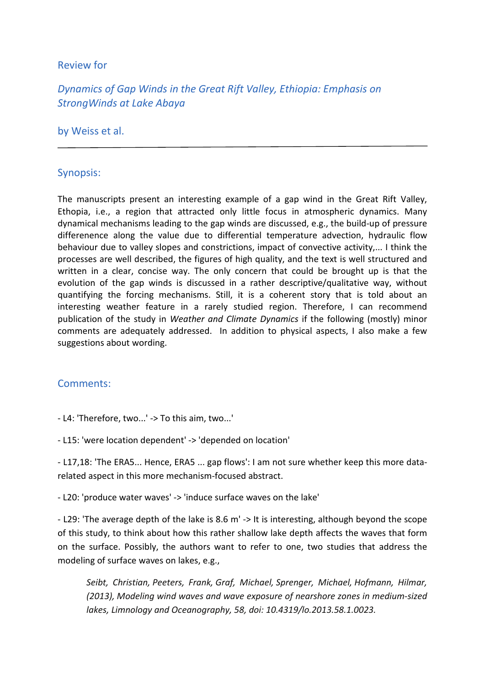### Review for

# *Dynamics of Gap Winds in the Great Rift Valley, Ethiopia: Emphasis on StrongWinds at Lake Abaya*

#### by Weiss et al.

## Synopsis:

The manuscripts present an interesting example of a gap wind in the Great Rift Valley, Ethopia, i.e., a region that attracted only little focus in atmospheric dynamics. Many dynamical mechanisms leading to the gap winds are discussed, e.g., the build-up of pressure differenence along the value due to differential temperature advection, hydraulic flow behaviour due to valley slopes and constrictions, impact of convective activity,... I think the processes are well described, the figures of high quality, and the text is well structured and written in a clear, concise way. The only concern that could be brought up is that the evolution of the gap winds is discussed in a rather descriptive/qualitative way, without quantifying the forcing mechanisms. Still, it is a coherent story that is told about an interesting weather feature in a rarely studied region. Therefore, I can recommend publication of the study in *Weather and Climate Dynamics* if the following (mostly) minor comments are adequately addressed. In addition to physical aspects, I also make a few suggestions about wording.

## Comments:

- L4: 'Therefore, two...' -> To this aim, two...'

- L15: 'were location dependent' -> 'depended on location'

- L17,18: 'The ERA5... Hence, ERA5 ... gap flows': I am not sure whether keep this more datarelated aspect in this more mechanism-focused abstract.

- L20: 'produce water waves' -> 'induce surface waves on the lake'

- L29: 'The average depth of the lake is 8.6 m' -> It is interesting, although beyond the scope of this study, to think about how this rather shallow lake depth affects the waves that form on the surface. Possibly, the authors want to refer to one, two studies that address the modeling of surface waves on lakes, e.g.,

*Seibt, Christian, Peeters, Frank, Graf, Michael, Sprenger, Michael, Hofmann, Hilmar, (2013), Modeling wind waves and wave exposure of nearshore zones in medium-sized lakes, Limnology and Oceanography, 58, doi: 10.4319/lo.2013.58.1.0023.*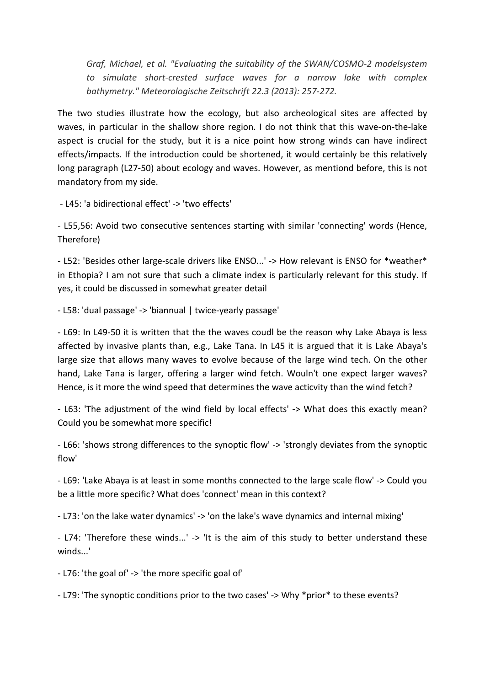*Graf, Michael, et al. "Evaluating the suitability of the SWAN/COSMO-2 modelsystem to simulate short-crested surface waves for a narrow lake with complex bathymetry." Meteorologische Zeitschrift 22.3 (2013): 257-272.*

The two studies illustrate how the ecology, but also archeological sites are affected by waves, in particular in the shallow shore region. I do not think that this wave-on-the-lake aspect is crucial for the study, but it is a nice point how strong winds can have indirect effects/impacts. If the introduction could be shortened, it would certainly be this relatively long paragraph (L27-50) about ecology and waves. However, as mentiond before, this is not mandatory from my side.

- L45: 'a bidirectional effect' -> 'two effects'

- L55,56: Avoid two consecutive sentences starting with similar 'connecting' words (Hence, Therefore)

- L52: 'Besides other large-scale drivers like ENSO...' -> How relevant is ENSO for \*weather\* in Ethopia? I am not sure that such a climate index is particularly relevant for this study. If yes, it could be discussed in somewhat greater detail

- L58: 'dual passage' -> 'biannual | twice-yearly passage'

- L69: In L49-50 it is written that the the waves coudl be the reason why Lake Abaya is less affected by invasive plants than, e.g., Lake Tana. In L45 it is argued that it is Lake Abaya's large size that allows many waves to evolve because of the large wind tech. On the other hand, Lake Tana is larger, offering a larger wind fetch. Wouln't one expect larger waves? Hence, is it more the wind speed that determines the wave acticvity than the wind fetch?

- L63: 'The adjustment of the wind field by local effects' -> What does this exactly mean? Could you be somewhat more specific!

- L66: 'shows strong differences to the synoptic flow' -> 'strongly deviates from the synoptic flow'

- L69: 'Lake Abaya is at least in some months connected to the large scale flow' -> Could you be a little more specific? What does 'connect' mean in this context?

- L73: 'on the lake water dynamics' -> 'on the lake's wave dynamics and internal mixing'

- L74: 'Therefore these winds...' -> 'It is the aim of this study to better understand these winds...'

- L76: 'the goal of' -> 'the more specific goal of'

- L79: 'The synoptic conditions prior to the two cases' -> Why \*prior\* to these events?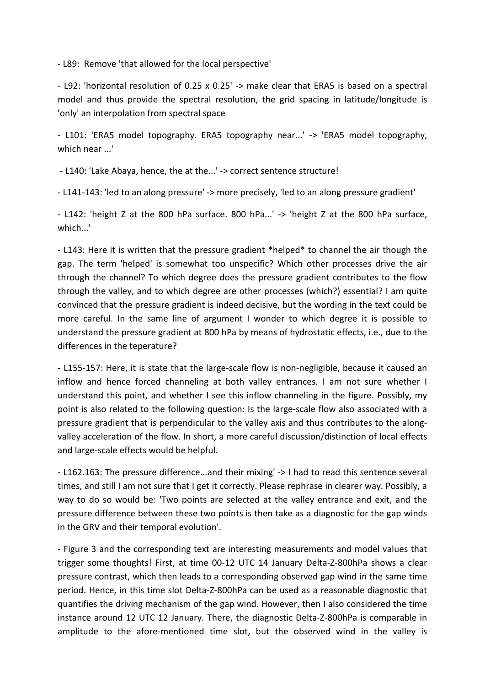- L89: Remove 'that allowed for the local perspective'

- L92: 'horizontal resolution of 0.25 x 0.25' -> make clear that ERA5 is based on a spectral model and thus provide the spectral resolution, the grid spacing in latitude/longitude is 'only' an interpolation from spectral space

- L101: 'ERA5 model topography. ERA5 topography near...' -> 'ERA5 model topography, which near ...'

- L140: 'Lake Abaya, hence, the at the...' -> correct sentence structure!

- L141-143: 'led to an along pressure' -> more precisely, 'led to an along pressure gradient'

- L142: 'height Z at the 800 hPa surface. 800 hPa...' -> 'height Z at the 800 hPa surface, which...'

- L143: Here it is written that the pressure gradient \*helped\* to channel the air though the gap. The term 'helped' is somewhat too unspecific? Which other processes drive the air through the channel? To which degree does the pressure gradient contributes to the flow through the valley, and to which degree are other processes (which?) essential? I am quite convinced that the pressure gradient is indeed decisive, but the wording in the text could be more careful. In the same line of argument I wonder to which degree it is possible to understand the pressure gradient at 800 hPa by means of hydrostatic effects, i.e., due to the differences in the teperature?

- L155-157: Here, it is state that the large-scale flow is non-negligible, because it caused an inflow and hence forced channeling at both valley entrances. I am not sure whether I understand this point, and whether I see this inflow channeling in the figure. Possibly, my point is also related to the following question: Is the large-scale flow also associated with a pressure gradient that is perpendicular to the valley axis and thus contributes to the alongvalley acceleration of the flow. In short, a more careful discussion/distinction of local effects and large-scale effects would be helpful.

- L162.163: The pressure difference...and their mixing' -> I had to read this sentence several times, and still I am not sure that I get it correctly. Please rephrase in clearer way. Possibly, a way to do so would be: 'Two points are selected at the valley entrance and exit, and the pressure difference between these two points is then take as a diagnostic for the gap winds in the GRV and their temporal evolution'.

- Figure 3 and the corresponding text are interesting measurements and model values that trigger some thoughts! First, at time 00-12 UTC 14 January Delta-Z-800hPa shows a clear pressure contrast, which then leads to a corresponding observed gap wind in the same time period. Hence, in this time slot Delta-Z-800hPa can be used as a reasonable diagnostic that quantifies the driving mechanism of the gap wind. However, then I also considered the time instance around 12 UTC 12 January. There, the diagnostic Delta-Z-800hPa is comparable in amplitude to the afore-mentioned time slot, but the observed wind in the valley is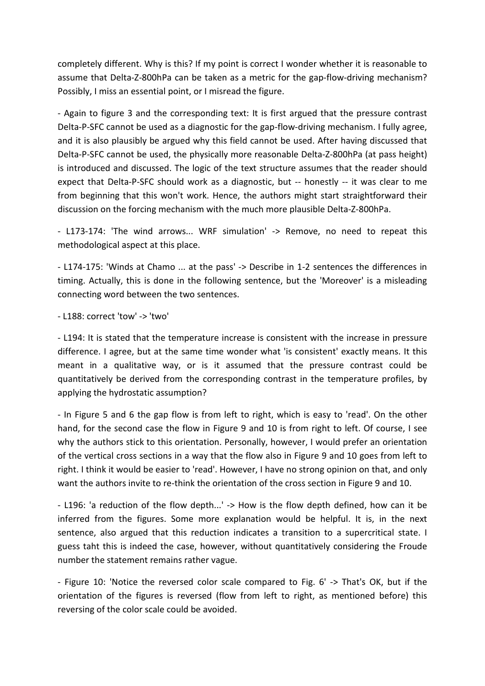completely different. Why is this? If my point is correct I wonder whether it is reasonable to assume that Delta-Z-800hPa can be taken as a metric for the gap-flow-driving mechanism? Possibly, I miss an essential point, or I misread the figure.

- Again to figure 3 and the corresponding text: It is first argued that the pressure contrast Delta-P-SFC cannot be used as a diagnostic for the gap-flow-driving mechanism. I fully agree, and it is also plausibly be argued why this field cannot be used. After having discussed that Delta-P-SFC cannot be used, the physically more reasonable Delta-Z-800hPa (at pass height) is introduced and discussed. The logic of the text structure assumes that the reader should expect that Delta-P-SFC should work as a diagnostic, but -- honestly -- it was clear to me from beginning that this won't work. Hence, the authors might start straightforward their discussion on the forcing mechanism with the much more plausible Delta-Z-800hPa.

- L173-174: 'The wind arrows... WRF simulation' -> Remove, no need to repeat this methodological aspect at this place.

- L174-175: 'Winds at Chamo ... at the pass' -> Describe in 1-2 sentences the differences in timing. Actually, this is done in the following sentence, but the 'Moreover' is a misleading connecting word between the two sentences.

- L188: correct 'tow' -> 'two'

- L194: It is stated that the temperature increase is consistent with the increase in pressure difference. I agree, but at the same time wonder what 'is consistent' exactly means. It this meant in a qualitative way, or is it assumed that the pressure contrast could be quantitatively be derived from the corresponding contrast in the temperature profiles, by applying the hydrostatic assumption?

- In Figure 5 and 6 the gap flow is from left to right, which is easy to 'read'. On the other hand, for the second case the flow in Figure 9 and 10 is from right to left. Of course, I see why the authors stick to this orientation. Personally, however, I would prefer an orientation of the vertical cross sections in a way that the flow also in Figure 9 and 10 goes from left to right. I think it would be easier to 'read'. However, I have no strong opinion on that, and only want the authors invite to re-think the orientation of the cross section in Figure 9 and 10.

- L196: 'a reduction of the flow depth...' -> How is the flow depth defined, how can it be inferred from the figures. Some more explanation would be helpful. It is, in the next sentence, also argued that this reduction indicates a transition to a supercritical state. I guess taht this is indeed the case, however, without quantitatively considering the Froude number the statement remains rather vague.

- Figure 10: 'Notice the reversed color scale compared to Fig. 6' -> That's OK, but if the orientation of the figures is reversed (flow from left to right, as mentioned before) this reversing of the color scale could be avoided.